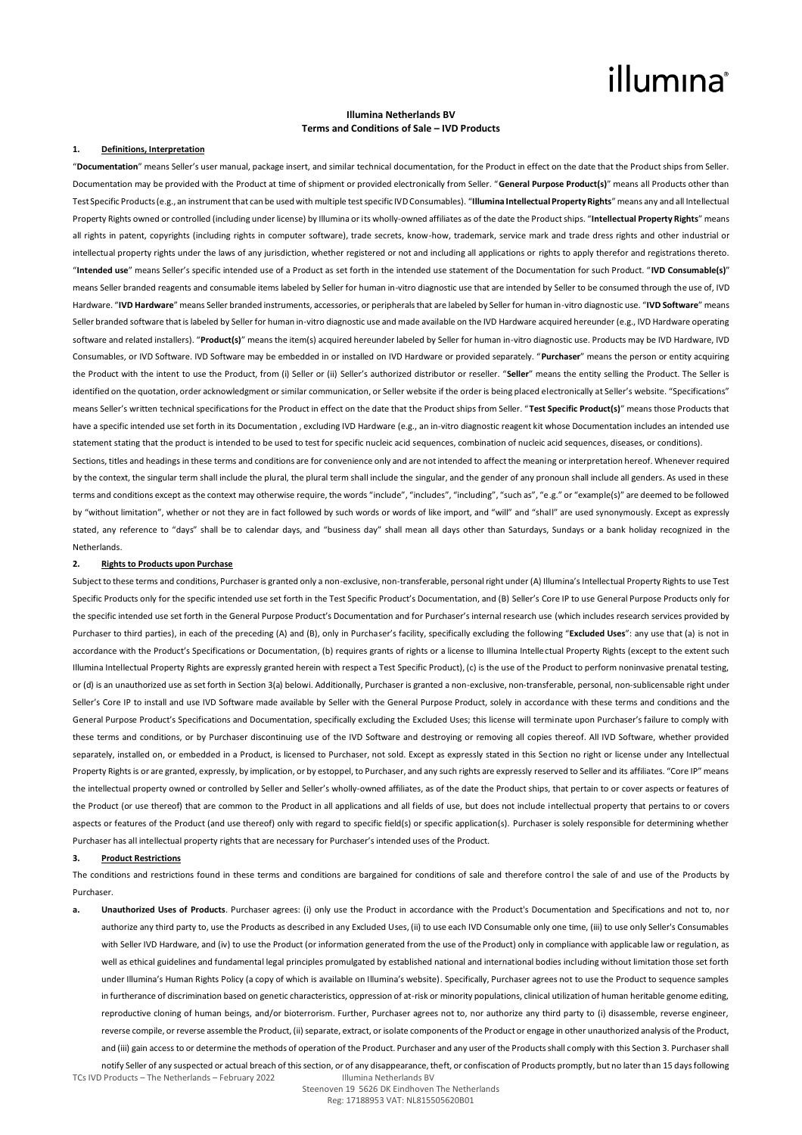## **Illumina Netherlands BV Terms and Conditions of Sale – IVD Products**

#### **1. Definitions, Interpretation**

"**Documentation**" means Seller's user manual, package insert, and similar technical documentation, for the Product in effect on the date that the Product ships from Seller. Documentation may be provided with the Product at time of shipment or provided electronically from Seller. "**General Purpose Product(s)**" means all Products other than Test Specific Products (e.g., an instrument that can be used with multiple test specific IVD Consumables). "**Illumina Intellectual Property Rights**" means any and all Intellectual Property Rights owned or controlled (including under license) by Illumina or its wholly-owned affiliates as of the date the Product ships. "**Intellectual Property Rights**" means all rights in patent, copyrights (including rights in computer software), trade secrets, know-how, trademark, service mark and trade dress rights and other industrial or intellectual property rights under the laws of any jurisdiction, whether registered or not and including all applications or rights to apply therefor and registrations thereto. "**Intended use**" means Seller's specific intended use of a Product as set forth in the intended use statement of the Documentation for such Product. "**IVD Consumable(s)**" means Seller branded reagents and consumable items labeled by Seller for human in-vitro diagnostic use that are intended by Seller to be consumed through the use of, IVD Hardware. "**IVD Hardware**" means Seller branded instruments, accessories, or peripherals that are labeled by Seller for human in-vitro diagnostic use. "**IVD Software**" means Seller branded software that is labeled by Seller for human in-vitro diagnostic use and made available on the IVD Hardware acquired hereunder (e.g., IVD Hardware operating software and related installers). "**Product(s)**" means the item(s) acquired hereunder labeled by Seller for human in-vitro diagnostic use. Products may be IVD Hardware, IVD Consumables, or IVD Software. IVD Software may be embedded in or installed on IVD Hardware or provided separately. "**Purchaser**" means the person or entity acquiring the Product with the intent to use the Product, from (i) Seller or (ii) Seller's authorized distributor or reseller. "**Seller**" means the entity selling the Product. The Seller is identified on the quotation, order acknowledgment or similar communication, or Seller website if the order is being placed electronically at Seller's website. "Specifications" means Seller's written technical specifications for the Product in effect on the date that the Product ships from Seller. "**Test Specific Product(s)**" means those Products that have a specific intended use set forth in its Documentation, excluding IVD Hardware (e.g., an in-vitro diagnostic reagent kit whose Documentation includes an intended use statement stating that the product is intended to be used to test for specific nucleic acid sequences, combination of nucleic acid sequences, diseases, or conditions).

Sections, titles and headings in these terms and conditions are for convenience only and are not intended to affect the meaning or interpretation hereof. Whenever required by the context, the singular term shall include the plural, the plural term shall include the singular, and the gender of any pronoun shall include all genders. As used in these terms and conditions except as the context may otherwise require, the words "include", "includes", "including", "such as", "e.g." or "example(s)" are deemed to be followed by "without limitation", whether or not they are in fact followed by such words or words of like import, and "will" and "shall" are used synonymously. Except as expressly stated, any reference to "days" shall be to calendar days, and "business day" shall mean all days other than Saturdays, Sundays or a bank holiday recognized in the **Netherlands** 

#### **2. Rights to Products upon Purchase**

Subject to these terms and conditions, Purchaser is granted only a non-exclusive, non-transferable, personal right under (A) Illumina's Intellectual Property Rights to use Test Specific Products only for the specific intended use set forth in the Test Specific Product's Documentation, and (B) Seller's Core IP to use General Purpose Products only for the specific intended use set forth in the General Purpose Product's Documentation and for Purchaser's internal research use (which includes research services provided by Purchaser to third parties), in each of the preceding (A) and (B), only in Purchaser's facility, specifically excluding the following "**Excluded Uses**": any use that (a) is not in accordance with the Product's Specifications or Documentation, (b) requires grants of rights or a license to Illumina Intellectual Property Rights (except to the extent such Illumina Intellectual Property Rights are expressly granted herein with respect a Test Specific Product), (c) is the use of the Product to perform noninvasive prenatal testing, or (d) is an unauthorized use as set forth in Section 3(a) belowi. Additionally, Purchaser is granted a non-exclusive, non-transferable, personal, non-sublicensable right under Seller's Core IP to install and use IVD Software made available by Seller with the General Purpose Product, solely in accordance with these terms and conditions and the General Purpose Product's Specifications and Documentation, specifically excluding the Excluded Uses: this license will terminate upon Purchaser's failure to comply with these terms and conditions, or by Purchaser discontinuing use of the IVD Software and destroying or removing all copies thereof. All IVD Software, whether provided separately, installed on, or embedded in a Product, is licensed to Purchaser, not sold. Except as expressly stated in this Section no right or license under any Intellectual Property Rights is or are granted, expressly, by implication, or by estoppel, to Purchaser, and any such rights are expressly reserved to Seller and its affiliates. "Core IP" means the intellectual property owned or controlled by Seller and Seller's wholly-owned affiliates, as of the date the Product ships, that pertain to or cover aspects or features of the Product (or use thereof) that are common to the Product in all applications and all fields of use, but does not include intellectual property that pertains to or covers aspects or features of the Product (and use thereof) only with regard to specific field(s) or specific application(s). Purchaser is solely responsible for determining whether Purchaser has all intellectual property rights that are necessary for Purchaser's intended uses of the Product.

#### **3. Product Restrictions**

The conditions and restrictions found in these terms and conditions are bargained for conditions of sale and therefore control the sale of and use of the Products by Purchaser.

TCs IVD Products – The Netherlands – February 2022 Illumina Netherlands BV **a. Unauthorized Uses of Products**. Purchaser agrees: (i) only use the Product in accordance with the Product's Documentation and Specifications and not to, nor authorize any third party to, use the Products as described in any Excluded Uses, (ii) to use each IVD Consumable only one time, (iii) to use only Seller's Consumables with Seller IVD Hardware, and (iv) to use the Product (or information generated from the use of the Product) only in compliance with applicable law or regulation, as well as ethical guidelines and fundamental legal principles promulgated by established national and international bodies including without limitation those set forth under Illumina's Human Rights Policy (a copy of which is available on Illumina's website). Specifically, Purchaser agrees not to use the Product to sequence samples in furtherance of discrimination based on genetic characteristics, oppression of at-risk or minority populations, clinical utilization of human heritable genome editing, reproductive cloning of human beings, and/or bioterrorism. Further, Purchaser agrees not to, nor authorize any third party to (i) disassemble, reverse engineer, reverse compile, or reverse assemble the Product, (ii) separate, extract, or isolate components of the Product or engage in other unauthorized analysis of the Product, and (iii) gain access to or determine the methods of operation of the Product. Purchaser and any user of the Products shall comply with this Section 3. Purchaser shall notify Seller of any suspected or actual breach of this section, or of any disappearance, theft, or confiscation of Products promptly, but no later than 15 days following

Steenoven 19 5626 DK Eindhoven The Netherlands Reg: 17188953 VAT: NL815505620B01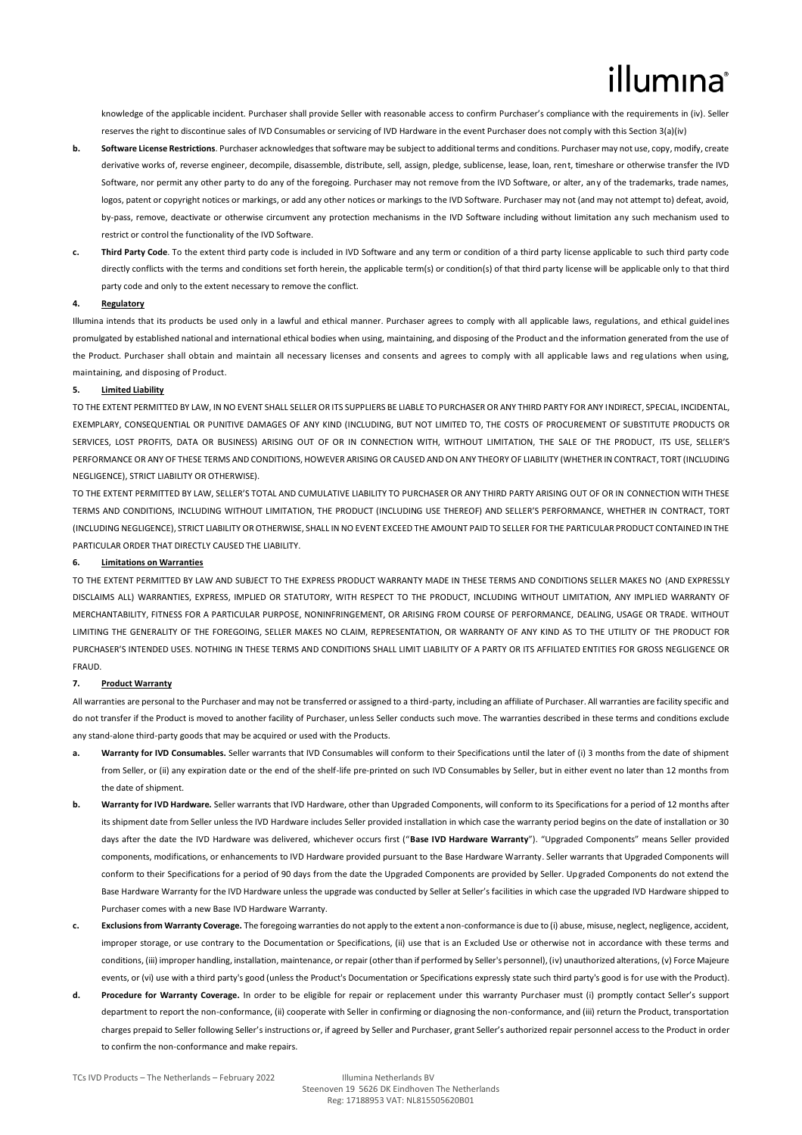knowledge of the applicable incident. Purchaser shall provide Seller with reasonable access to confirm Purchaser's compliance with the requirements in (iv). Seller reserves the right to discontinue sales of IVD Consumables or servicing of IVD Hardware in the event Purchaser does not comply with this Section 3(a)(iv)

- **b. Software License Restrictions**. Purchaser acknowledges that software may be subject to additional terms and conditions. Purchaser may not use, copy, modify, create derivative works of, reverse engineer, decompile, disassemble, distribute, sell, assign, pledge, sublicense, lease, loan, rent, timeshare or otherwise transfer the IVD Software, nor permit any other party to do any of the foregoing. Purchaser may not remove from the IVD Software, or alter, any of the trademarks, trade names, logos, patent or copyright notices or markings, or add any other notices or markings to the IVD Software. Purchaser may not (and may not attempt to) defeat, avoid, by-pass, remove, deactivate or otherwise circumvent any protection mechanisms in the IVD Software including without limitation any such mechanism used to restrict or control the functionality of the IVD Software.
- **c. Third Party Code**. To the extent third party code is included in IVD Software and any term or condition of a third party license applicable to such third party code directly conflicts with the terms and conditions set forth herein, the applicable term(s) or condition(s) of that third party license will be applicable only to that third party code and only to the extent necessary to remove the conflict.

### **4. Regulatory**

Illumina intends that its products be used only in a lawful and ethical manner. Purchaser agrees to comply with all applicable laws, regulations, and ethical guidelines promulgated by established national and international ethical bodies when using, maintaining, and disposing of the Product and the information generated from the use of the Product. Purchaser shall obtain and maintain all necessary licenses and consents and agrees to comply with all applicable laws and reg ulations when using, maintaining, and disposing of Product.

## **5. Limited Liability**

TO THE EXTENT PERMITTED BY LAW, IN NO EVENT SHALL SELLER OR ITS SUPPLIERS BE LIABLE TO PURCHASER OR ANY THIRD PARTY FOR ANY INDIRECT, SPECIAL, INCIDENTAL, EXEMPLARY, CONSEQUENTIAL OR PUNITIVE DAMAGES OF ANY KIND (INCLUDING, BUT NOT LIMITED TO, THE COSTS OF PROCUREMENT OF SUBSTITUTE PRODUCTS OR SERVICES, LOST PROFITS, DATA OR BUSINESS) ARISING OUT OF OR IN CONNECTION WITH, WITHOUT LIMITATION, THE SALE OF THE PRODUCT, ITS USE, SELLER'S PERFORMANCE OR ANY OF THESE TERMS AND CONDITIONS, HOWEVER ARISING OR CAUSED AND ON ANY THEORY OF LIABILITY (WHETHER IN CONTRACT, TORT (INCLUDING NEGLIGENCE), STRICT LIABILITY OR OTHERWISE).

TO THE EXTENT PERMITTED BY LAW, SELLER'S TOTAL AND CUMULATIVE LIABILITY TO PURCHASER OR ANY THIRD PARTY ARISING OUT OF OR IN CONNECTION WITH THESE TERMS AND CONDITIONS, INCLUDING WITHOUT LIMITATION, THE PRODUCT (INCLUDING USE THEREOF) AND SELLER'S PERFORMANCE, WHETHER IN CONTRACT, TORT (INCLUDING NEGLIGENCE), STRICT LIABILITY OR OTHERWISE, SHALL IN NO EVENT EXCEED THE AMOUNT PAID TO SELLER FOR THE PARTICULAR PRODUCT CONTAINED IN THE PARTICULAR ORDER THAT DIRECTLY CAUSED THE LIABILITY.

#### **6. Limitations on Warranties**

TO THE EXTENT PERMITTED BY LAW AND SUBJECT TO THE EXPRESS PRODUCT WARRANTY MADE IN THESE TERMS AND CONDITIONS SELLER MAKES NO (AND EXPRESSLY DISCLAIMS ALL) WARRANTIES, EXPRESS, IMPLIED OR STATUTORY, WITH RESPECT TO THE PRODUCT, INCLUDING WITHOUT LIMITATION, ANY IMPLIED WARRANTY OF MERCHANTABILITY, FITNESS FOR A PARTICULAR PURPOSE, NONINFRINGEMENT, OR ARISING FROM COURSE OF PERFORMANCE, DEALING, USAGE OR TRADE, WITHOUT LIMITING THE GENERALITY OF THE FOREGOING, SELLER MAKES NO CLAIM, REPRESENTATION, OR WARRANTY OF ANY KIND AS TO THE UTILITY OF THE PRODUCT FOR PURCHASER'S INTENDED USES. NOTHING IN THESE TERMS AND CONDITIONS SHALL LIMIT LIABILITY OF A PARTY OR ITS AFFILIATED ENTITIES FOR GROSS NEGLIGENCE OR FRAUD.

### **7. Product Warranty**

All warranties are personal to the Purchaser and may not be transferred or assigned to a third-party, including an affiliate of Purchaser. All warranties are facility specific and do not transfer if the Product is moved to another facility of Purchaser, unless Seller conducts such move. The warranties described in these terms and conditions exclude any stand-alone third-party goods that may be acquired or used with the Products.

- a. Warranty for IVD Consumables. Seller warrants that IVD Consumables will conform to their Specifications until the later of (i) 3 months from the date of shipment from Seller, or (ii) any expiration date or the end of the shelf-life pre-printed on such IVD Consumables by Seller, but in either event no later than 12 months from the date of shipment.
- **b. Warranty for IVD Hardware.** Seller warrants that IVD Hardware, other than Upgraded Components, will conform to its Specifications for a period of 12 months after its shipment date from Seller unless the IVD Hardware includes Seller provided installation in which case the warranty period begins on the date of installation or 30 days after the date the IVD Hardware was delivered, whichever occurs first ("**Base IVD Hardware Warranty**"). "Upgraded Components" means Seller provided components, modifications, or enhancements to IVD Hardware provided pursuant to the Base Hardware Warranty. Seller warrants that Upgraded Components will conform to their Specifications for a period of 90 days from the date the Upgraded Components are provided by Seller. Upgraded Components do not extend the Base Hardware Warranty for the IVD Hardware unless the upgrade was conducted by Seller at Seller's facilities in which case the upgraded IVD Hardware shipped to Purchaser comes with a new Base IVD Hardware Warranty.
- **c. Exclusions from Warranty Coverage.** The foregoing warranties do not apply to the extent a non-conformance is due to (i) abuse, misuse, neglect, negligence, accident, improper storage, or use contrary to the Documentation or Specifications, (ii) use that is an Excluded Use or otherwise not in accordance with these terms and conditions, (iii) improper handling, installation, maintenance, or repair (other than if performed by Seller's personnel), (iv) unauthorized alterations, (v) Force Majeure events, or (vi) use with a third party's good (unless the Product's Documentation or Specifications expressly state such third party's good is for use with the Product).
- **d. Procedure for Warranty Coverage.** In order to be eligible for repair or replacement under this warranty Purchaser must (i) promptly contact Seller's support department to report the non-conformance, (ii) cooperate with Seller in confirming or diagnosing the non-conformance, and (iii) return the Product, transportation charges prepaid to Seller following Seller's instructions or, if agreed by Seller and Purchaser, grant Seller's authorized repair personnel access to the Product in order to confirm the non-conformance and make repairs.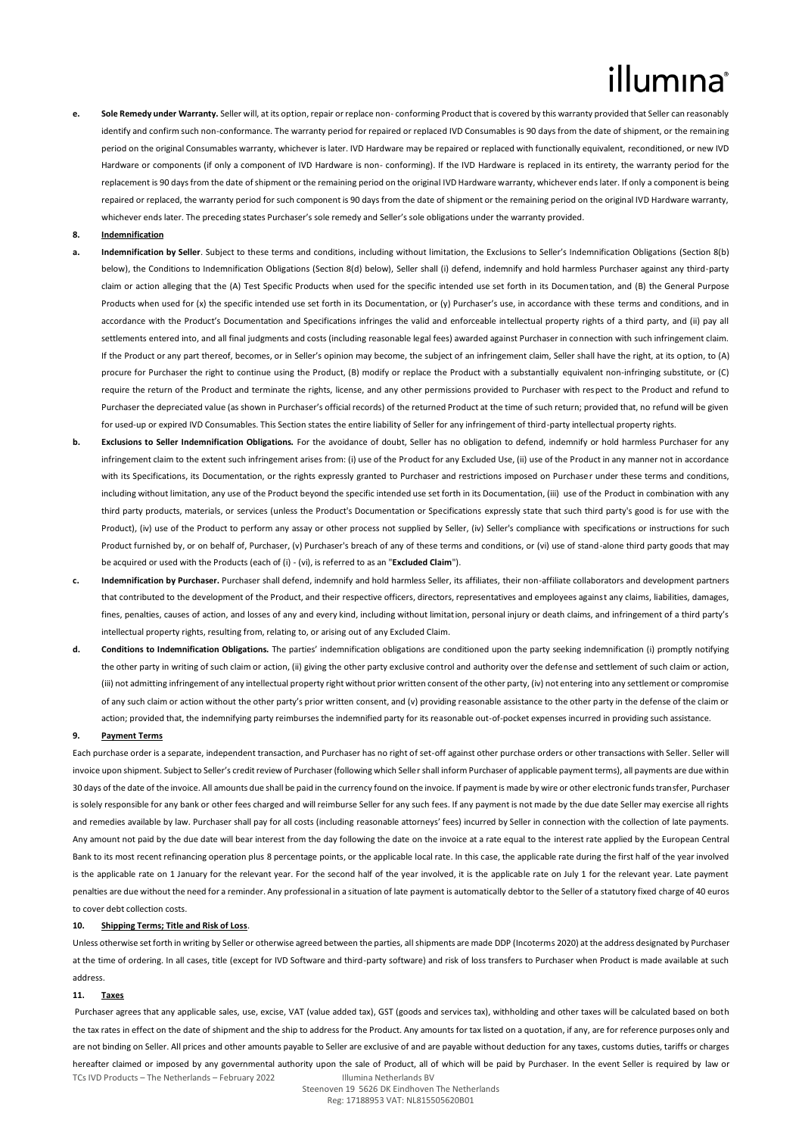**e. Sole Remedy under Warranty.** Seller will, at its option, repair or replace non- conforming Product that is covered by this warranty provided that Seller can reasonably identify and confirm such non-conformance. The warranty period for repaired or replaced IVD Consumables is 90 days from the date of shipment, or the remaining period on the original Consumables warranty, whichever is later. IVD Hardware may be repaired or replaced with functionally equivalent, reconditioned, or new IVD Hardware or components (if only a component of IVD Hardware is non- conforming). If the IVD Hardware is replaced in its entirety, the warranty period for the replacement is 90 days from the date of shipment or the remaining period on the original IVD Hardware warranty, whichever ends later. If only a component is being repaired or replaced, the warranty period for such component is 90 days from the date of shipment or the remaining period on the original IVD Hardware warranty, whichever ends later. The preceding states Purchaser's sole remedy and Seller's sole obligations under the warranty provided.

### **8. Indemnification**

- **a. Indemnification by Seller**. Subject to these terms and conditions, including without limitation, the Exclusions to Seller's Indemnification Obligations (Section 8(b) below), the Conditions to Indemnification Obligations (Section 8(d) below), Seller shall (i) defend, indemnify and hold harmless Purchaser against any third-party claim or action alleging that the (A) Test Specific Products when used for the specific intended use set forth in its Documentation, and (B) the General Purpose Products when used for (x) the specific intended use set forth in its Documentation, or (y) Purchaser's use, in accordance with these terms and conditions, and in accordance with the Product's Documentation and Specifications infringes the valid and enforceable intellectual property rights of a third party, and (ii) pay all settlements entered into, and all final judgments and costs (including reasonable legal fees) awarded against Purchaser in connection with such infringement claim. If the Product or any part thereof, becomes, or in Seller's opinion may become, the subject of an infringement claim, Seller shall have the right, at its option, to (A) procure for Purchaser the right to continue using the Product, (B) modify or replace the Product with a substantially equivalent non-infringing substitute, or (C) require the return of the Product and terminate the rights, license, and any other permissions provided to Purchaser with respect to the Product and refund to Purchaser the depreciated value (as shown in Purchaser's official records) of the returned Product at the time of such return; provided that, no refund will be given for used-up or expired IVD Consumables. This Section states the entire liability of Seller for any infringement of third-party intellectual property rights.
- **b. Exclusions to Seller Indemnification Obligations.** For the avoidance of doubt, Seller has no obligation to defend, indemnify or hold harmless Purchaser for any infringement claim to the extent such infringement arises from: (i) use of the Product for any Excluded Use, (ii) use of the Product in any manner not in accordance with its Specifications, its Documentation, or the rights expressly granted to Purchaser and restrictions imposed on Purchaser under these terms and conditions, including without limitation, any use of the Product beyond the specific intended use set forth in its Documentation, (iii) use of the Product in combination with any third party products, materials, or services (unless the Product's Documentation or Specifications expressly state that such third party's good is for use with the Product), (iv) use of the Product to perform any assay or other process not supplied by Seller, (iv) Seller's compliance with specifications or instructions for such Product furnished by, or on behalf of, Purchaser, (v) Purchaser's breach of any of these terms and conditions, or (vi) use of stand-alone third party goods that may be acquired or used with the Products (each of (i) - (vi), is referred to as an "**Excluded Claim**").
- **c. Indemnification by Purchaser.** Purchaser shall defend, indemnify and hold harmless Seller, its affiliates, their non-affiliate collaborators and development partners that contributed to the development of the Product, and their respective officers, directors, representatives and employees against any claims, liabilities, damages, fines, penalties, causes of action, and losses of any and every kind, including without limitation, personal injury or death claims, and infringement of a third party's intellectual property rights, resulting from, relating to, or arising out of any Excluded Claim.
- **d. Conditions to Indemnification Obligations.** The parties' indemnification obligations are conditioned upon the party seeking indemnification (i) promptly notifying the other party in writing of such claim or action, (ii) giving the other party exclusive control and authority over the defense and settlement of such claim or action, (iii) not admitting infringement of any intellectual property right without prior written consent of the other party, (iv) not entering into any settlement or compromise of any such claim or action without the other party's prior written consent, and (v) providing reasonable assistance to the other party in the defense of the claim or action; provided that, the indemnifying party reimburses the indemnified party for its reasonable out-of-pocket expenses incurred in providing such assistance.

#### **9. Payment Terms**

Each purchase order is a separate, independent transaction, and Purchaser has no right of set-off against other purchase orders or other transactions with Seller. Seller will invoice upon shipment. Subject to Seller's credit review of Purchaser (following which Seller shall inform Purchaser of applicable payment terms), all payments are due within 30 days of the date of the invoice. All amounts due shall be paid in the currency found on the invoice. If payment is made by wire or other electronic funds transfer, Purchaser is solely responsible for any bank or other fees charged and will reimburse Seller for any such fees. If any payment is not made by the due date Seller may exercise all rights and remedies available by law. Purchaser shall pay for all costs (including reasonable attorneys' fees) incurred by Seller in connection with the collection of late payments. Any amount not paid by the due date will bear interest from the day following the date on the invoice at a rate equal to the interest rate applied by the European Central Bank to its most recent refinancing operation plus 8 percentage points, or the applicable local rate. In this case, the applicable rate during the first half of the year involved is the applicable rate on 1 January for the relevant year. For the second half of the year involved, it is the applicable rate on July 1 for the relevant year. Late payment penalties are due without the need for a reminder. Any professional in a situation of late payment is automatically debtor to the Seller of a statutory fixed charge of 40 euros to cover debt collection costs.

### **10. Shipping Terms; Title and Risk of Loss**.

Unless otherwise set forth in writing by Seller or otherwise agreed between the parties, all shipments are made DDP (Incoterms 2020) at the address designated by Purchaser at the time of ordering. In all cases, title (except for IVD Software and third-party software) and risk of loss transfers to Purchaser when Product is made available at such address.

## **11. Taxes**

TCs IVD Products – The Netherlands – February 2022 Illumina Netherlands BV Purchaser agrees that any applicable sales, use, excise, VAT (value added tax), GST (goods and services tax), withholding and other taxes will be calculated based on both the tax rates in effect on the date of shipment and the ship to address for the Product. Any amounts for tax listed on a quotation, if any, are for reference purposes only and are not binding on Seller. All prices and other amounts payable to Seller are exclusive of and are payable without deduction for any taxes, customs duties, tariffs or charges hereafter claimed or imposed by any governmental authority upon the sale of Product, all of which will be paid by Purchaser. In the event Seller is required by law or

> Steenoven 19 5626 DK Eindhoven The Netherlands Reg: 17188953 VAT: NL815505620B01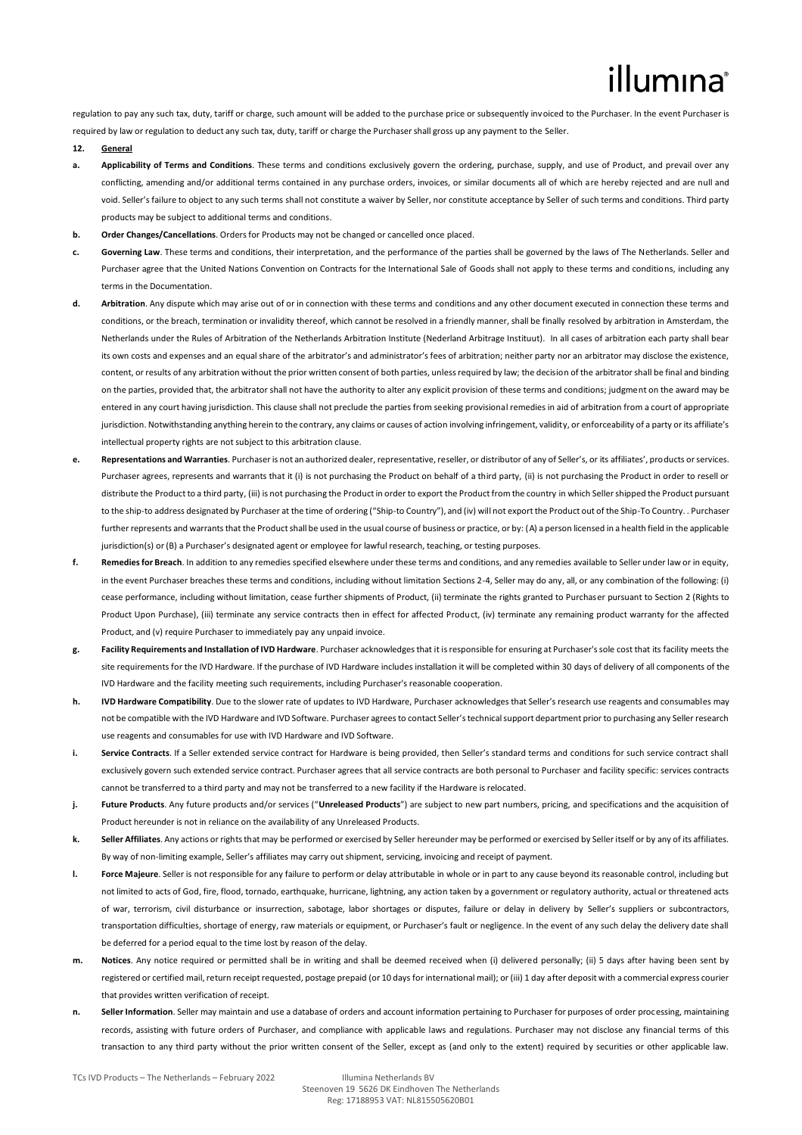regulation to pay any such tax, duty, tariff or charge, such amount will be added to the purchase price or subsequently invoiced to the Purchaser. In the event Purchaser is required by law or regulation to deduct any such tax, duty, tariff or charge the Purchaser shall gross up any payment to the Seller.

### **12. General**

- Applicability of Terms and Conditions. These terms and conditions exclusively govern the ordering, purchase, supply, and use of Product, and prevail over any conflicting, amending and/or additional terms contained in any purchase orders, invoices, or similar documents all of which are hereby rejected and are null and void. Seller's failure to object to any such terms shall not constitute a waiver by Seller, nor constitute acceptance by Seller of such terms and conditions. Third party products may be subject to additional terms and conditions.
- **b. Order Changes/Cancellations**. Orders for Products may not be changed or cancelled once placed.
- **c. Governing Law**. These terms and conditions, their interpretation, and the performance of the parties shall be governed by the laws of The Netherlands. Seller and Purchaser agree that the United Nations Convention on Contracts for the International Sale of Goods shall not apply to these terms and conditions, including any terms in the Documentation.
- **d. Arbitration**. Any dispute which may arise out of or in connection with these terms and conditions and any other document executed in connection these terms and conditions, or the breach, termination or invalidity thereof, which cannot be resolved in a friendly manner, shall be finally resolved by arbitration in Amsterdam, the Netherlands under the Rules of Arbitration of the Netherlands Arbitration Institute (Nederland Arbitrage Instituut). In all cases of arbitration each party shall bear its own costs and expenses and an equal share of the arbitrator's and administrator's fees of arbitration; neither party nor an arbitrator may disclose the existence, content, or results of any arbitration without the prior written consent of both parties, unless required by law; the decision of the arbitrator shall be final and binding on the parties, provided that, the arbitrator shall not have the authority to alter any explicit provision of these terms and conditions; judgment on the award may be entered in any court having jurisdiction. This clause shall not preclude the parties from seeking provisional remedies in aid of arbitration from a court of appropriate jurisdiction. Notwithstanding anything herein to the contrary, any claims or causes of action involving infringement, validity, or enforceability of a party or its affiliate's intellectual property rights are not subject to this arbitration clause.
- **e. Representations and Warranties**. Purchaser is not an authorized dealer, representative, reseller, or distributor of any of Seller's, or its affiliates', products or services. Purchaser agrees, represents and warrants that it (i) is not purchasing the Product on behalf of a third party, (ii) is not purchasing the Product in order to resell or distribute the Product to a third party, (iii) is not purchasing the Product in order to export the Product from the country in which Seller shipped the Product pursuant to the ship-to address designated by Purchaser at the time of ordering ("Ship-to Country"), and (iv) will not export the Product out of the Ship-To Country. . Purchaser further represents and warrants that the Product shall be used in the usual course of business or practice, or by: (A) a person licensed in a health field in the applicable jurisdiction(s) or (B) a Purchaser's designated agent or employee for lawful research, teaching, or testing purposes.
- **f. Remedies for Breach**. In addition to any remedies specified elsewhere under these terms and conditions, and any remedies available to Seller under law or in equity, in the event Purchaser breaches these terms and conditions, including without limitation Sections 2-4, Seller may do any, all, or any combination of the following: (i) cease performance, including without limitation, cease further shipments of Product, (ii) terminate the rights granted to Purchaser pursuant to Section 2 (Rights to Product Upon Purchase), (iii) terminate any service contracts then in effect for affected Product, (iv) terminate any remaining product warranty for the affected Product, and (v) require Purchaser to immediately pay any unpaid invoice.
- **g. Facility Requirements and Installation of IVD Hardware**. Purchaser acknowledges that it is responsible for ensuring at Purchaser's sole cost that its facility meets the site requirements for the IVD Hardware. If the purchase of IVD Hardware includes installation it will be completed within 30 days of delivery of all components of the IVD Hardware and the facility meeting such requirements, including Purchaser's reasonable cooperation.
- **h. IVD Hardware Compatibility**. Due to the slower rate of updates to IVD Hardware, Purchaser acknowledges that Seller's research use reagents and consumables may not be compatible with the IVD Hardware and IVD Software. Purchaser agrees to contact Seller's technical support department prior to purchasing any Seller research use reagents and consumables for use with IVD Hardware and IVD Software.
- **i.** Service Contracts. If a Seller extended service contract for Hardware is being provided, then Seller's standard terms and conditions for such service contract shall exclusively govern such extended service contract. Purchaser agrees that all service contracts are both personal to Purchaser and facility specific: services contracts cannot be transferred to a third party and may not be transferred to a new facility if the Hardware is relocated.
- **j. Future Products**. Any future products and/or services ("**Unreleased Products**") are subject to new part numbers, pricing, and specifications and the acquisition of Product hereunder is not in reliance on the availability of any Unreleased Products.
- **k. Seller Affiliates**. Any actions or rights that may be performed or exercised by Seller hereunder may be performed or exercised by Seller itself or by any of its affiliates. By way of non-limiting example, Seller's affiliates may carry out shipment, servicing, invoicing and receipt of payment.
- **l. Force Majeure**. Seller is not responsible for any failure to perform or delay attributable in whole or in part to any cause beyond its reasonable control, including but not limited to acts of God, fire, flood, tornado, earthquake, hurricane, lightning, any action taken by a government or regulatory authority, actual or threatened acts of war, terrorism, civil disturbance or insurrection, sabotage, labor shortages or disputes, failure or delay in delivery by Seller's suppliers or subcontractors, transportation difficulties, shortage of energy, raw materials or equipment, or Purchaser's fault or negligence. In the event of any such delay the delivery date shall be deferred for a period equal to the time lost by reason of the delay.
- **m. Notices**. Any notice required or permitted shall be in writing and shall be deemed received when (i) delivered personally; (ii) 5 days after having been sent by registered or certified mail, return receipt requested, postage prepaid (or 10 days for international mail); or (iii) 1 day after deposit with a commercial express courier that provides written verification of receipt.
- **n. Seller Information**. Seller may maintain and use a database of orders and account information pertaining to Purchaser for purposes of order processing, maintaining records, assisting with future orders of Purchaser, and compliance with applicable laws and regulations. Purchaser may not disclose any financial terms of this transaction to any third party without the prior written consent of the Seller, except as (and only to the extent) required by securities or other applicable law.